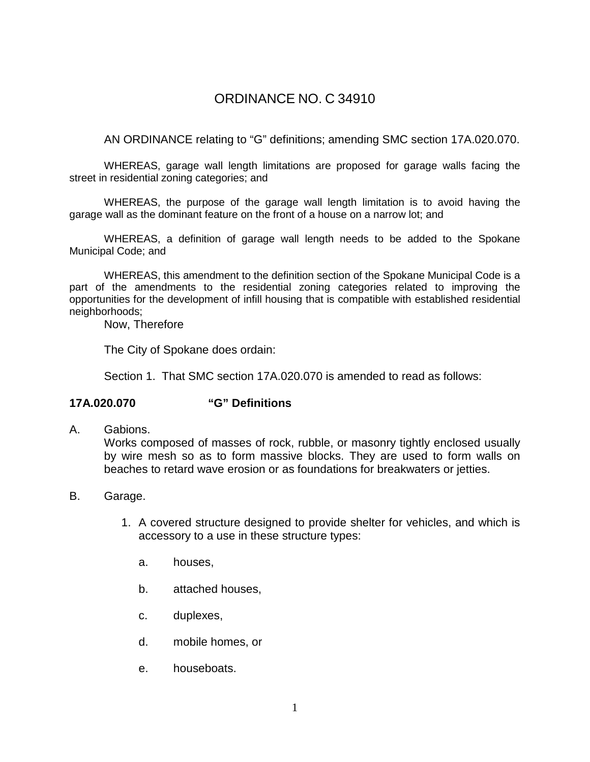# ORDINANCE NO. C 34910

AN ORDINANCE relating to "G" definitions; amending SMC section 17A.020.070.

WHEREAS, garage wall length limitations are proposed for garage walls facing the street in residential zoning categories; and

WHEREAS, the purpose of the garage wall length limitation is to avoid having the garage wall as the dominant feature on the front of a house on a narrow lot; and

WHEREAS, a definition of garage wall length needs to be added to the Spokane Municipal Code; and

WHEREAS, this amendment to the definition section of the Spokane Municipal Code is a part of the amendments to the residential zoning categories related to improving the opportunities for the development of infill housing that is compatible with established residential neighborhoods;

Now, Therefore

The City of Spokane does ordain:

Section 1. That SMC section 17A.020.070 is amended to read as follows:

#### **17A.020.070 "G" Definitions**

A. Gabions.

Works composed of masses of rock, rubble, or masonry tightly enclosed usually by wire mesh so as to form massive blocks. They are used to form walls on beaches to retard wave erosion or as foundations for breakwaters or jetties.

- B. Garage.
	- 1. A covered structure designed to provide shelter for vehicles, and which is accessory to a use in these structure types:
		- a. houses,
		- b. attached houses,
		- c. duplexes,
		- d. mobile homes, or
		- e. houseboats.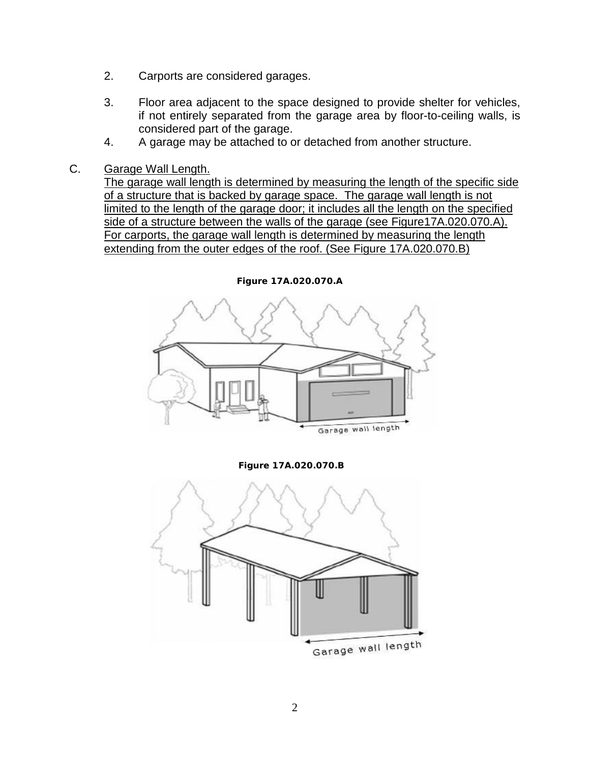- 2. Carports are considered garages.
- 3. Floor area adjacent to the space designed to provide shelter for vehicles, if not entirely separated from the garage area by floor-to-ceiling walls, is considered part of the garage.
- 4. A garage may be attached to or detached from another structure.
- C. Garage Wall Length.

The garage wall length is determined by measuring the length of the specific side of a structure that is backed by garage space. The garage wall length is not limited to the length of the garage door; it includes all the length on the specified side of a structure between the walls of the garage (see Figure17A.020.070.A). For carports, the garage wall length is determined by measuring the length extending from the outer edges of the roof. (See Figure 17A.020.070.B)



**Figure 17A.020.070.A**

**Figure 17A.020.070.B**

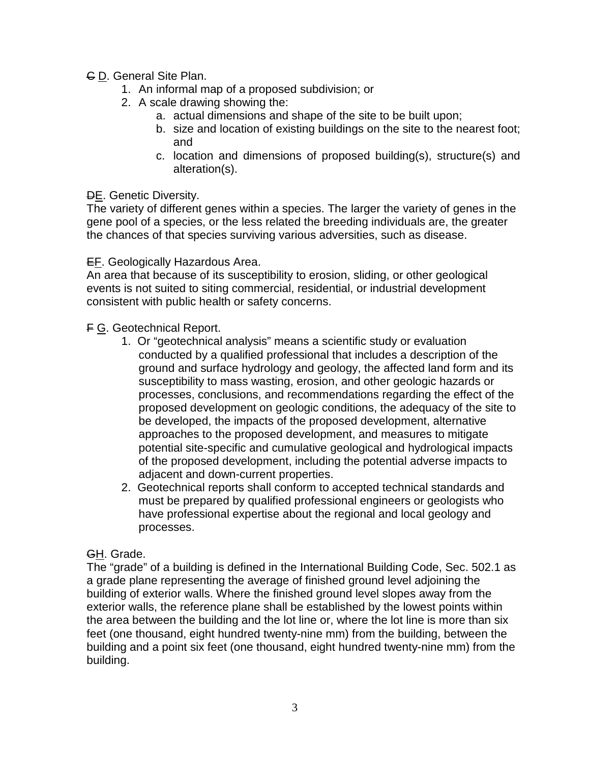- C D. General Site Plan.
	- 1. An informal map of a proposed subdivision; or
	- 2. A scale drawing showing the:
		- a. actual dimensions and shape of the site to be built upon;
		- b. size and location of existing buildings on the site to the nearest foot; and
		- c. location and dimensions of proposed building(s), structure(s) and alteration(s).

### DE. Genetic Diversity.

The variety of different genes within a species. The larger the variety of genes in the gene pool of a species, or the less related the breeding individuals are, the greater the chances of that species surviving various adversities, such as disease.

### EF. Geologically Hazardous Area.

An area that because of its susceptibility to erosion, sliding, or other geological events is not suited to siting commercial, residential, or industrial development consistent with public health or safety concerns.

## F G. Geotechnical Report.

- 1. Or "geotechnical analysis" means a scientific study or evaluation conducted by a qualified professional that includes a description of the ground and surface hydrology and geology, the affected land form and its susceptibility to mass wasting, erosion, and other geologic hazards or processes, conclusions, and recommendations regarding the effect of the proposed development on geologic conditions, the adequacy of the site to be developed, the impacts of the proposed development, alternative approaches to the proposed development, and measures to mitigate potential site-specific and cumulative geological and hydrological impacts of the proposed development, including the potential adverse impacts to adjacent and down-current properties.
- 2. Geotechnical reports shall conform to accepted technical standards and must be prepared by qualified professional engineers or geologists who have professional expertise about the regional and local geology and processes.

### GH. Grade.

The "grade" of a building is defined in the International Building Code, Sec. 502.1 as a grade plane representing the average of finished ground level adjoining the building of exterior walls. Where the finished ground level slopes away from the exterior walls, the reference plane shall be established by the lowest points within the area between the building and the lot line or, where the lot line is more than six feet (one thousand, eight hundred twenty-nine mm) from the building, between the building and a point six feet (one thousand, eight hundred twenty-nine mm) from the building.